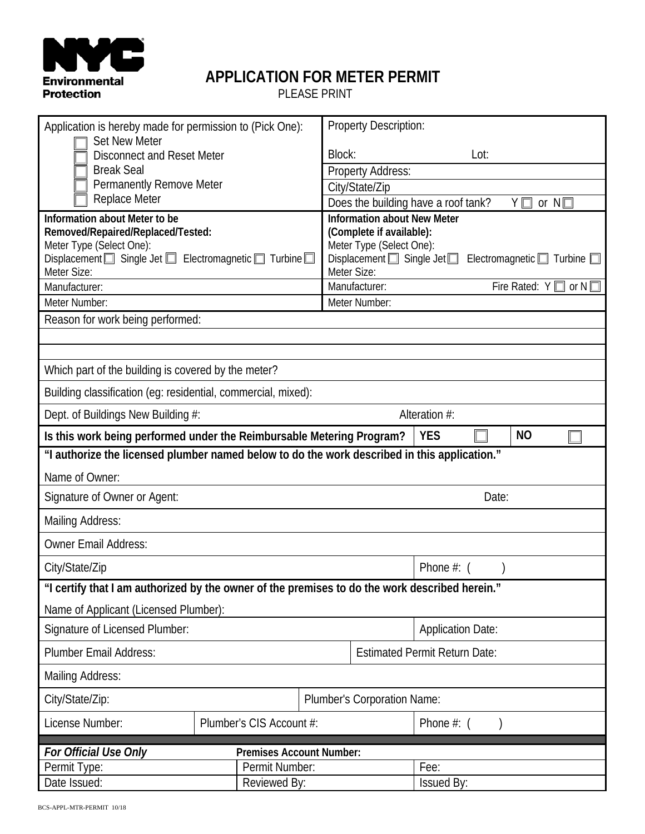

## **APPLICATION FOR METER PERMIT**

PLEASE PRINT

| Application is hereby made for permission to (Pick One):                                                                                                             |  | <b>Property Description:</b>                                                                                                                                                                      |                                                           |                          |      |  |  |
|----------------------------------------------------------------------------------------------------------------------------------------------------------------------|--|---------------------------------------------------------------------------------------------------------------------------------------------------------------------------------------------------|-----------------------------------------------------------|--------------------------|------|--|--|
| <b>Set New Meter</b><br><b>Disconnect and Reset Meter</b>                                                                                                            |  |                                                                                                                                                                                                   | Block:                                                    |                          | Lot: |  |  |
| <b>Break Seal</b>                                                                                                                                                    |  |                                                                                                                                                                                                   | <b>Property Address:</b>                                  |                          |      |  |  |
| <b>Permanently Remove Meter</b>                                                                                                                                      |  | City/State/Zip                                                                                                                                                                                    |                                                           |                          |      |  |  |
| Replace Meter                                                                                                                                                        |  |                                                                                                                                                                                                   | Does the building have a roof tank?<br>Y<br>or $N\square$ |                          |      |  |  |
| Information about Meter to be<br>Removed/Repaired/Replaced/Tested:<br>Meter Type (Select One):<br>Displacement Single Jet ■ Electromagnetic ■ Turbine<br>Meter Size: |  | <b>Information about New Meter</b><br>(Complete if available):<br>Meter Type (Select One):<br>Displacement $\Box$ Single Jet $\Box$<br>Electromagnetic $\square$ Turbine $\square$<br>Meter Size: |                                                           |                          |      |  |  |
| Manufacturer:                                                                                                                                                        |  |                                                                                                                                                                                                   | Manufacturer:<br>Fire Rated: $Y \Box$ or $N \Box$         |                          |      |  |  |
| Meter Number:                                                                                                                                                        |  |                                                                                                                                                                                                   | Meter Number:                                             |                          |      |  |  |
| Reason for work being performed:                                                                                                                                     |  |                                                                                                                                                                                                   |                                                           |                          |      |  |  |
|                                                                                                                                                                      |  |                                                                                                                                                                                                   |                                                           |                          |      |  |  |
| Which part of the building is covered by the meter?                                                                                                                  |  |                                                                                                                                                                                                   |                                                           |                          |      |  |  |
| Building classification (eg: residential, commercial, mixed):                                                                                                        |  |                                                                                                                                                                                                   |                                                           |                          |      |  |  |
| Alteration #:<br>Dept. of Buildings New Building #:                                                                                                                  |  |                                                                                                                                                                                                   |                                                           |                          |      |  |  |
| <b>NO</b><br><b>YES</b><br>Is this work being performed under the Reimbursable Metering Program?                                                                     |  |                                                                                                                                                                                                   |                                                           |                          |      |  |  |
| "I authorize the licensed plumber named below to do the work described in this application."                                                                         |  |                                                                                                                                                                                                   |                                                           |                          |      |  |  |
| Name of Owner:                                                                                                                                                       |  |                                                                                                                                                                                                   |                                                           |                          |      |  |  |
| Signature of Owner or Agent:                                                                                                                                         |  |                                                                                                                                                                                                   | Date:                                                     |                          |      |  |  |
| <b>Mailing Address:</b>                                                                                                                                              |  |                                                                                                                                                                                                   |                                                           |                          |      |  |  |
| <b>Owner Email Address:</b>                                                                                                                                          |  |                                                                                                                                                                                                   |                                                           |                          |      |  |  |
| City/State/Zip                                                                                                                                                       |  |                                                                                                                                                                                                   |                                                           | Phone $#: ($             |      |  |  |
| "I certify that I am authorized by the owner of the premises to do the work described herein."                                                                       |  |                                                                                                                                                                                                   |                                                           |                          |      |  |  |
| Name of Applicant (Licensed Plumber):                                                                                                                                |  |                                                                                                                                                                                                   |                                                           |                          |      |  |  |
| <b>Signature of Licensed Plumber:</b>                                                                                                                                |  |                                                                                                                                                                                                   |                                                           | <b>Application Date:</b> |      |  |  |
| <b>Plumber Email Address:</b>                                                                                                                                        |  |                                                                                                                                                                                                   | <b>Estimated Permit Return Date:</b>                      |                          |      |  |  |
| <b>Mailing Address:</b>                                                                                                                                              |  |                                                                                                                                                                                                   |                                                           |                          |      |  |  |
| City/State/Zip:                                                                                                                                                      |  |                                                                                                                                                                                                   | Plumber's Corporation Name:                               |                          |      |  |  |
| License Number:                                                                                                                                                      |  | Plumber's CIS Account #:                                                                                                                                                                          |                                                           | Phone $#: ($             |      |  |  |
| For Official Use Only<br><b>Premises Account Number:</b>                                                                                                             |  |                                                                                                                                                                                                   |                                                           |                          |      |  |  |
| Permit Number:<br>Permit Type:                                                                                                                                       |  |                                                                                                                                                                                                   | Fee:                                                      |                          |      |  |  |
| Date Issued:<br>Reviewed By:                                                                                                                                         |  |                                                                                                                                                                                                   |                                                           | <b>Issued By:</b>        |      |  |  |